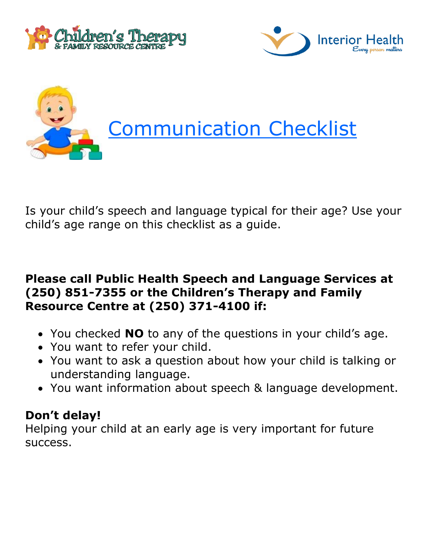





Is your child's speech and language typical for their age? Use your child's age range on this checklist as a guide.

# **Please call Public Health Speech and Language Services at (250) 851-7355 or the Children's Therapy and Family Resource Centre at (250) 371-4100 if:**

- You checked **NO** to any of the questions in your child's age.
- You want to refer your child.
- You want to ask a question about how your child is talking or understanding language.
- You want information about speech & language development.

# **Don't delay!**

Helping your child at an early age is very important for future success.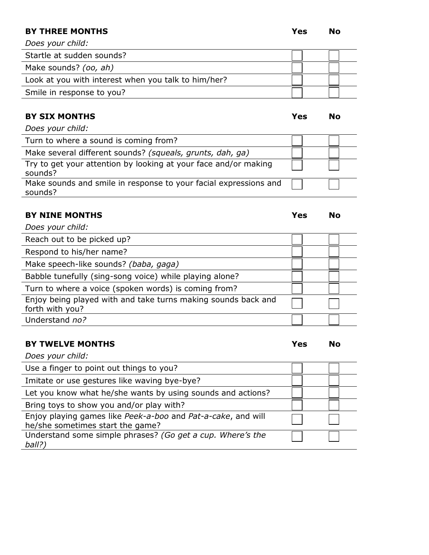# **BY THREE MONTHS Yes No**

*Does your child:*

| Startle at sudden sounds?                           |  |
|-----------------------------------------------------|--|
| Make sounds? (oo, ah)                               |  |
| Look at you with interest when you talk to him/her? |  |
| Smile in response to you?                           |  |

# **BY SIX MONTHS Yes No**

*Does your child:*

| Turn to where a sound is coming from?                                       |  |
|-----------------------------------------------------------------------------|--|
| Make several different sounds? (squeals, grunts, dah, ga)                   |  |
| Try to get your attention by looking at your face and/or making<br>sounds?  |  |
| Make sounds and smile in response to your facial expressions and<br>sounds? |  |

# **BY NINE MONTHS Yes No**

| Does your child:                                                                 |  |
|----------------------------------------------------------------------------------|--|
| Reach out to be picked up?                                                       |  |
| Respond to his/her name?                                                         |  |
| Make speech-like sounds? (baba, gaga)                                            |  |
| Babble tunefully (sing-song voice) while playing alone?                          |  |
| Turn to where a voice (spoken words) is coming from?                             |  |
| Enjoy being played with and take turns making sounds back and<br>forth with you? |  |
| Understand no?                                                                   |  |

# **BY TWELVE MONTHS Yes No**

| No |
|----|
|    |

| Does your child:                                                                                 |  |
|--------------------------------------------------------------------------------------------------|--|
| Use a finger to point out things to you?                                                         |  |
| Imitate or use gestures like waving bye-bye?                                                     |  |
| Let you know what he/she wants by using sounds and actions?                                      |  |
| Bring toys to show you and/or play with?                                                         |  |
| Enjoy playing games like Peek-a-boo and Pat-a-cake, and will<br>he/she sometimes start the game? |  |
| Understand some simple phrases? (Go get a cup. Where's the<br>ball?)                             |  |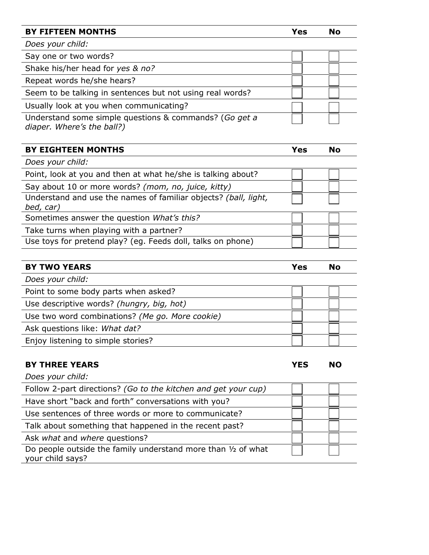#### **BY FIFTEEN MONTHS Yes No**

*Does your child:* Say one or two words? Shake his/her head for *yes & no?* Repeat words he/she hears? Seem to be talking in sentences but not using real words? Usually look at you when communicating? Understand some simple questions & commands? (*Go get a diaper. Where's the ball?)*

| <b>EIGHTEEN MONTHS</b><br>BY | 55 |  |
|------------------------------|----|--|
|                              |    |  |

| Does your child:                                                             |  |
|------------------------------------------------------------------------------|--|
| Point, look at you and then at what he/she is talking about?                 |  |
| Say about 10 or more words? (mom, no, juice, kitty)                          |  |
| Understand and use the names of familiar objects? (ball, light,<br>bed, car) |  |
| Sometimes answer the question What's this?                                   |  |
|                                                                              |  |
| Take turns when playing with a partner?                                      |  |

| <b>BY TWO YEARS</b>                             | Yes | <b>No</b> |
|-------------------------------------------------|-----|-----------|
| Does your child:                                |     |           |
| Point to some body parts when asked?            |     |           |
| Use descriptive words? (hungry, big, hot)       |     |           |
| Use two word combinations? (Me go. More cookie) |     |           |
| Ask questions like: What dat?                   |     |           |
| Enjoy listening to simple stories?              |     |           |

### **BY THREE YEARS YES NO**

*Does your child:*

| Follow 2-part directions? (Go to the kitchen and get your cup)                    |  |  |
|-----------------------------------------------------------------------------------|--|--|
| Have short "back and forth" conversations with you?                               |  |  |
| Use sentences of three words or more to communicate?                              |  |  |
| Talk about something that happened in the recent past?                            |  |  |
| Ask what and where questions?                                                     |  |  |
| Do people outside the family understand more than 1/2 of what<br>your child says? |  |  |